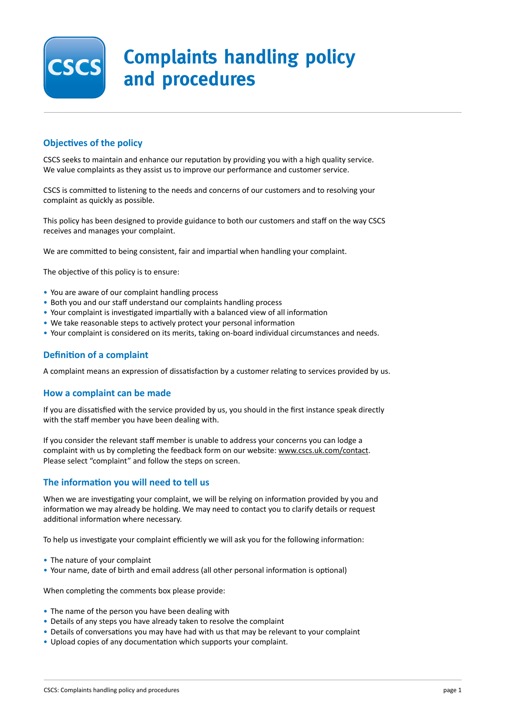

# **Complaints handling policy and procedures**

## **Objectives of the policy**

CSCS seeks to maintain and enhance our reputation by providing you with a high quality service. We value complaints as they assist us to improve our performance and customer service.

CSCS is committed to listening to the needs and concerns of our customers and to resolving your complaint as quickly as possible.

This policy has been designed to provide guidance to both our customers and staff on the way CSCS receives and manages your complaint.

We are committed to being consistent, fair and impartial when handling your complaint.

The objective of this policy is to ensure:

- You are aware of our complaint handling process
- Both you and our staff understand our complaints handling process
- Your complaint is investigated impartially with a balanced view of all information
- We take reasonable steps to actively protect your personal information
- Your complaint is considered on its merits, taking on-board individual circumstances and needs.

#### **Definition of a complaint**

A complaint means an expression of dissatisfaction by a customer relating to services provided by us.

#### **How a complaint can be made**

If you are dissatisfied with the service provided by us, you should in the first instance speak directly with the staff member you have been dealing with.

If you consider the relevant staff member is unable to address your concerns you can lodge a complaint with us by completing the feedback form on our website: www.cscs.uk.com/contact. Please select "complaint" and follow the steps on screen.

#### **The information you will need to tell us**

When we are investigating your complaint, we will be relying on information provided by you and information we may already be holding. We may need to contact you to clarify details or request additional information where necessary.

To help us investigate your complaint efficiently we will ask you for the following information:

- The nature of your complaint
- Your name, date of birth and email address (all other personal information is optional)

When completing the comments box please provide:

- The name of the person you have been dealing with
- Details of any steps you have already taken to resolve the complaint
- Details of conversations you may have had with us that may be relevant to your complaint
- Upload copies of any documentation which supports your complaint.